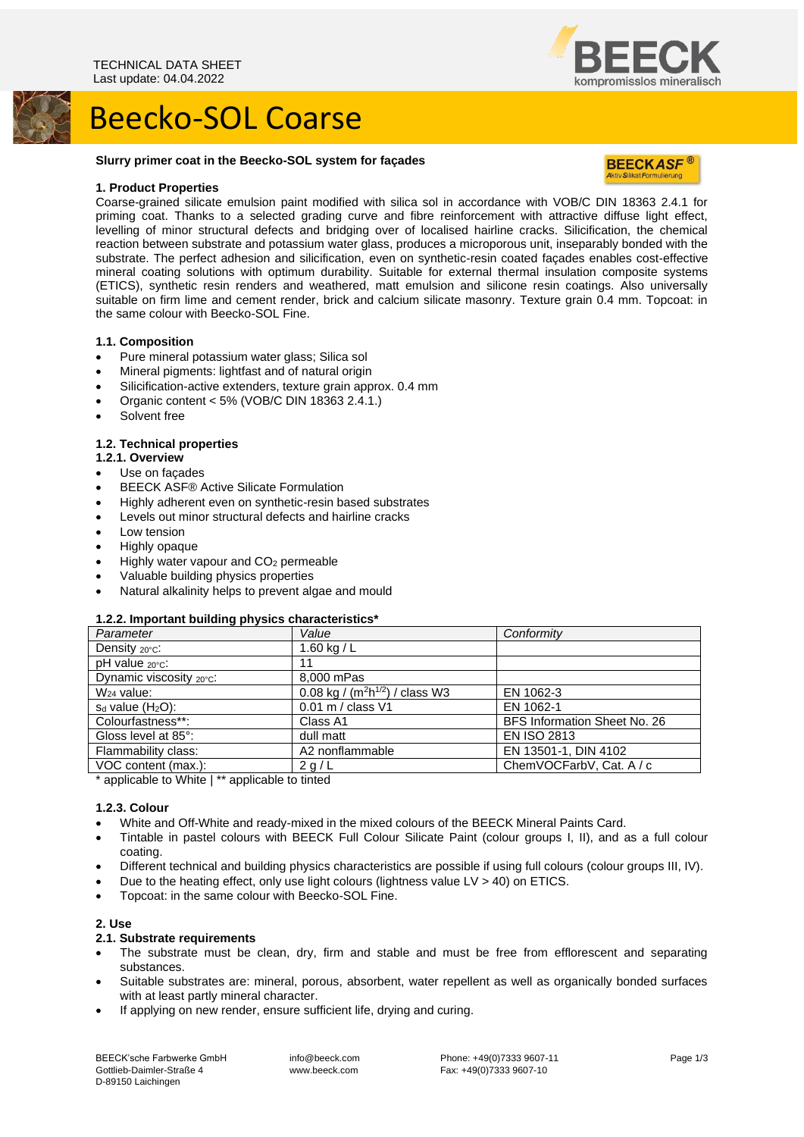## Beecko-SOL Coarse

## **Slurry primer coat in the Beecko-SOL system for façades**

#### **1. Product Properties**

Coarse-grained silicate emulsion paint modified with silica sol in accordance with VOB/C DIN 18363 2.4.1 for priming coat. Thanks to a selected grading curve and fibre reinforcement with attractive diffuse light effect, levelling of minor structural defects and bridging over of localised hairline cracks. Silicification, the chemical reaction between substrate and potassium water glass, produces a microporous unit, inseparably bonded with the substrate. The perfect adhesion and silicification, even on synthetic-resin coated façades enables cost-effective mineral coating solutions with optimum durability. Suitable for external thermal insulation composite systems (ETICS), synthetic resin renders and weathered, matt emulsion and silicone resin coatings. Also universally suitable on firm lime and cement render, brick and calcium silicate masonry. Texture grain 0.4 mm. Topcoat: in the same colour with Beecko-SOL Fine.

## **1.1. Composition**

- Pure mineral potassium water glass; Silica sol
- Mineral pigments: lightfast and of natural origin
- Silicification-active extenders, texture grain approx. 0.4 mm
- Organic content  $< 5\%$  (VOB/C DIN 18363 2.4.1.)
- Solvent free

## **1.2. Technical properties**

#### **1.2.1. Overview**

- Use on façades
- BEECK ASF® Active Silicate Formulation
- Highly adherent even on synthetic-resin based substrates
- Levels out minor structural defects and hairline cracks
- Low tension
- Highly opaque
- Highly water vapour and  $CO<sub>2</sub>$  permeable
- Valuable building physics properties
- Natural alkalinity helps to prevent algae and mould

#### **1.2.2. Important building physics characteristics\***

| Parameter                  | Value                               | Conformity                   |
|----------------------------|-------------------------------------|------------------------------|
| Density 20°C:              | 1.60 kg / L                         |                              |
| $pH$ value $20^{\circ}$ c: | 11                                  |                              |
| Dynamic viscosity 20°C:    | 8,000 mPas                          |                              |
| $W24$ value:               | 0.08 kg / $(m^2h^{1/2})$ / class W3 | EN 1062-3                    |
| $s_d$ value $(H_2O)$ :     | 0.01 m / class V1                   | EN 1062-1                    |
| Colourfastness**:          | Class A1                            | BFS Information Sheet No. 26 |
| Gloss level at 85°:        | dull matt                           | <b>EN ISO 2813</b>           |
| Flammability class:        | A2 nonflammable                     | EN 13501-1, DIN 4102         |
| VOC content (max.):        | 2 g/L                               | ChemVOCFarbV, Cat. A / c     |

\* applicable to White | \*\* applicable to tinted

#### **1.2.3. Colour**

- White and Off-White and ready-mixed in the mixed colours of the BEECK Mineral Paints Card.
- Tintable in pastel colours with BEECK Full Colour Silicate Paint (colour groups I, II), and as a full colour coating.
- Different technical and building physics characteristics are possible if using full colours (colour groups III, IV).
- Due to the heating effect, only use light colours (lightness value  $LV > 40$ ) on ETICS.
- Topcoat: in the same colour with Beecko-SOL Fine.

#### **2. Use**

#### **2.1. Substrate requirements**

- The substrate must be clean, dry, firm and stable and must be free from efflorescent and separating substances.
- Suitable substrates are: mineral, porous, absorbent, water repellent as well as organically bonded surfaces with at least partly mineral character.
- If applying on new render, ensure sufficient life, drying and curing.

BEECK'sche Farbwerke GmbH Gottlieb-Daimler-Straße 4 D-89150 Laichingen

info@beeck.com www.beeck.com

Phone: +49(0)7333 9607-11 Fax: +49(0)7333 9607-10



**BEECKASF®** 

compromisslos mineralisch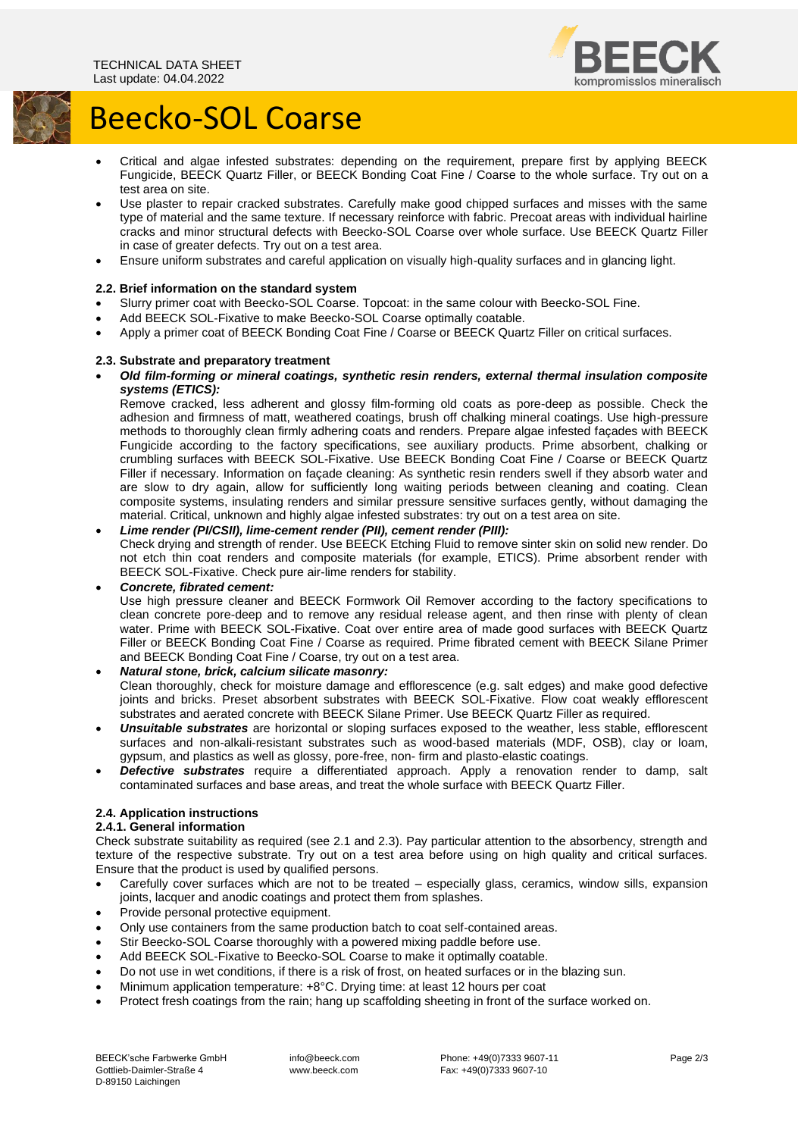

# Beecko-SOL Coarse

- Critical and algae infested substrates: depending on the requirement, prepare first by applying BEECK Fungicide, BEECK Quartz Filler, or BEECK Bonding Coat Fine / Coarse to the whole surface. Try out on a test area on site.
- Use plaster to repair cracked substrates. Carefully make good chipped surfaces and misses with the same type of material and the same texture. If necessary reinforce with fabric. Precoat areas with individual hairline cracks and minor structural defects with Beecko-SOL Coarse over whole surface. Use BEECK Quartz Filler in case of greater defects. Try out on a test area.
- Ensure uniform substrates and careful application on visually high-quality surfaces and in glancing light.

## **2.2. Brief information on the standard system**

- Slurry primer coat with Beecko-SOL Coarse. Topcoat: in the same colour with Beecko-SOL Fine.
- Add BEECK SOL-Fixative to make Beecko-SOL Coarse optimally coatable.
- Apply a primer coat of BEECK Bonding Coat Fine / Coarse or BEECK Quartz Filler on critical surfaces.

## **2.3. Substrate and preparatory treatment**

• *Old film-forming or mineral coatings, synthetic resin renders, external thermal insulation composite systems (ETICS):*

Remove cracked, less adherent and glossy film-forming old coats as pore-deep as possible. Check the adhesion and firmness of matt, weathered coatings, brush off chalking mineral coatings. Use high-pressure methods to thoroughly clean firmly adhering coats and renders. Prepare algae infested façades with BEECK Fungicide according to the factory specifications, see auxiliary products. Prime absorbent, chalking or crumbling surfaces with BEECK SOL-Fixative. Use BEECK Bonding Coat Fine / Coarse or BEECK Quartz Filler if necessary. Information on façade cleaning: As synthetic resin renders swell if they absorb water and are slow to dry again, allow for sufficiently long waiting periods between cleaning and coating. Clean composite systems, insulating renders and similar pressure sensitive surfaces gently, without damaging the material. Critical, unknown and highly algae infested substrates: try out on a test area on site.

## • *Lime render (PI/CSII), lime-cement render (PII), cement render (PIII):*

Check drying and strength of render. Use BEECK Etching Fluid to remove sinter skin on solid new render. Do not etch thin coat renders and composite materials (for example, ETICS). Prime absorbent render with BEECK SOL-Fixative. Check pure air-lime renders for stability.

## • *Concrete, fibrated cement:*

Use high pressure cleaner and BEECK Formwork Oil Remover according to the factory specifications to clean concrete pore-deep and to remove any residual release agent, and then rinse with plenty of clean water. Prime with BEECK SOL-Fixative. Coat over entire area of made good surfaces with BEECK Quartz Filler or BEECK Bonding Coat Fine / Coarse as required. Prime fibrated cement with BEECK Silane Primer and BEECK Bonding Coat Fine / Coarse, try out on a test area.

## • *Natural stone, brick, calcium silicate masonry:*

Clean thoroughly, check for moisture damage and efflorescence (e.g. salt edges) and make good defective joints and bricks. Preset absorbent substrates with BEECK SOL-Fixative. Flow coat weakly efflorescent substrates and aerated concrete with BEECK Silane Primer. Use BEECK Quartz Filler as required.

- *Unsuitable substrates* are horizontal or sloping surfaces exposed to the weather, less stable, efflorescent surfaces and non-alkali-resistant substrates such as wood-based materials (MDF, OSB), clay or loam, gypsum, and plastics as well as glossy, pore-free, non- firm and plasto-elastic coatings.
- *Defective substrates* require a differentiated approach. Apply a renovation render to damp, salt contaminated surfaces and base areas, and treat the whole surface with BEECK Quartz Filler.

## **2.4. Application instructions**

## **2.4.1. General information**

Check substrate suitability as required (see 2.1 and 2.3). Pay particular attention to the absorbency, strength and texture of the respective substrate. Try out on a test area before using on high quality and critical surfaces. Ensure that the product is used by qualified persons.

- Carefully cover surfaces which are not to be treated especially glass, ceramics, window sills, expansion joints, lacquer and anodic coatings and protect them from splashes.
- Provide personal protective equipment.
- Only use containers from the same production batch to coat self-contained areas.
- Stir Beecko-SOL Coarse thoroughly with a powered mixing paddle before use.
- Add BEECK SOL-Fixative to Beecko-SOL Coarse to make it optimally coatable.
- Do not use in wet conditions, if there is a risk of frost, on heated surfaces or in the blazing sun.
- Minimum application temperature: +8°C. Drying time: at least 12 hours per coat
- Protect fresh coatings from the rain; hang up scaffolding sheeting in front of the surface worked on.

info@beeck.com www.beeck.com